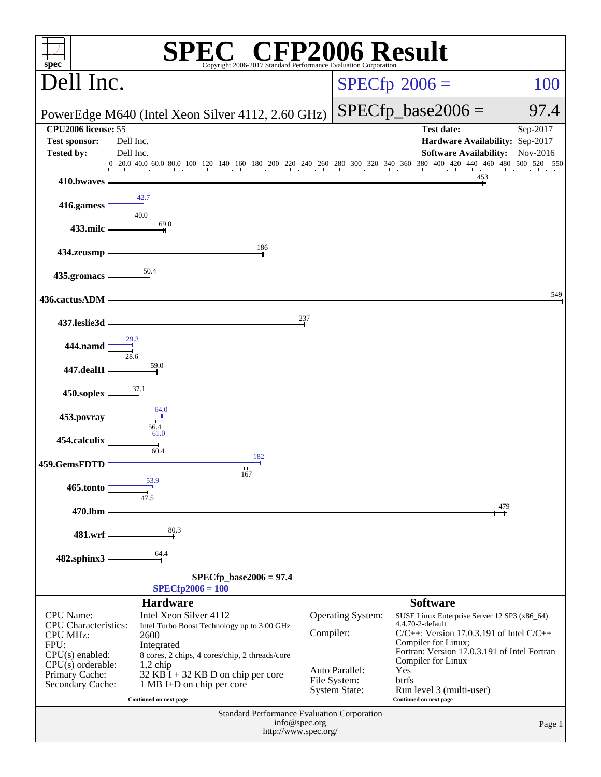| P2006 Result<br>$\mathbf{F}$<br>$spec^*$<br>Copyright 2006-2017 Standard Performance Evaluation Corporation |                        |                                                                                                                                                                                                                                                               |           |                                |                                                                      |                       |  |  |
|-------------------------------------------------------------------------------------------------------------|------------------------|---------------------------------------------------------------------------------------------------------------------------------------------------------------------------------------------------------------------------------------------------------------|-----------|--------------------------------|----------------------------------------------------------------------|-----------------------|--|--|
| Dell Inc.                                                                                                   |                        |                                                                                                                                                                                                                                                               |           |                                | $SPECfp^{\circ}2006 =$<br>100                                        |                       |  |  |
| PowerEdge M640 (Intel Xeon Silver 4112, 2.60 GHz)                                                           |                        |                                                                                                                                                                                                                                                               |           |                                | $SPECfp\_base2006 =$                                                 | 97.4                  |  |  |
| <b>CPU2006 license: 55</b>                                                                                  | Dell Inc.              |                                                                                                                                                                                                                                                               |           |                                | <b>Test date:</b>                                                    | Sep-2017              |  |  |
| <b>Test sponsor:</b><br><b>Tested by:</b>                                                                   | Dell Inc.              |                                                                                                                                                                                                                                                               |           |                                | Hardware Availability: Sep-2017<br><b>Software Availability:</b>     | Nov-2016              |  |  |
| 410.bwaves                                                                                                  |                        | $20.0\;\; 40.0\;\; 60.0\;\; 80.0\;\; 100\;\; 120\;\; 140\;\; 160\;\; 180\;\; 200\;\; 220\;\; 240\;\; 260\;\; 280\;\; 300\;\; 320\;\; 340\;\; 360\;\; 380\;\; 400\;\; 360\;\; 380\;\; 400\;\; 360\;\; 380\;\; 400\;\; 360\;\; 380\;\; 400\;\; 360\;\; 380\;\;$ |           |                                | 400 420 440<br>460<br>the transfer of<br>453                         | 480<br>500 520<br>550 |  |  |
| 416.gamess                                                                                                  |                        |                                                                                                                                                                                                                                                               |           |                                |                                                                      |                       |  |  |
| 433.milc                                                                                                    | 40.0<br>69.0           |                                                                                                                                                                                                                                                               |           |                                |                                                                      |                       |  |  |
| 434.zeusmp                                                                                                  |                        | 186                                                                                                                                                                                                                                                           |           |                                |                                                                      |                       |  |  |
| 435.gromacs                                                                                                 | 50.4                   |                                                                                                                                                                                                                                                               |           |                                |                                                                      |                       |  |  |
| 436.cactusADM                                                                                               |                        |                                                                                                                                                                                                                                                               |           |                                |                                                                      | 549                   |  |  |
| 437.leslie3d                                                                                                |                        |                                                                                                                                                                                                                                                               | 237       |                                |                                                                      |                       |  |  |
| <b>444.namd</b>                                                                                             | 29.3                   |                                                                                                                                                                                                                                                               |           |                                |                                                                      |                       |  |  |
| 447.dealII                                                                                                  | 59.0                   |                                                                                                                                                                                                                                                               |           |                                |                                                                      |                       |  |  |
| 450.soplex                                                                                                  | 37.1                   |                                                                                                                                                                                                                                                               |           |                                |                                                                      |                       |  |  |
| 453.povray                                                                                                  | 64.0<br>56.4           |                                                                                                                                                                                                                                                               |           |                                |                                                                      |                       |  |  |
| 454.calculix                                                                                                | 61.0<br>60.4           |                                                                                                                                                                                                                                                               |           |                                |                                                                      |                       |  |  |
| 459.GemsFDTD                                                                                                |                        | 182<br>167                                                                                                                                                                                                                                                    |           |                                |                                                                      |                       |  |  |
| 465.tonto                                                                                                   | 53.9<br>47.5           |                                                                                                                                                                                                                                                               |           |                                |                                                                      |                       |  |  |
| 470.lbm                                                                                                     |                        |                                                                                                                                                                                                                                                               |           |                                |                                                                      | 479                   |  |  |
| 481.wrf                                                                                                     | 80.3                   |                                                                                                                                                                                                                                                               |           |                                |                                                                      |                       |  |  |
| 482.sphinx3                                                                                                 | 64.4                   |                                                                                                                                                                                                                                                               |           |                                |                                                                      |                       |  |  |
| $SPECfp\_base2006 = 97.4$<br>$SPECfp2006 = 100$                                                             |                        |                                                                                                                                                                                                                                                               |           |                                |                                                                      |                       |  |  |
|                                                                                                             | <b>Hardware</b>        |                                                                                                                                                                                                                                                               |           |                                | <b>Software</b>                                                      |                       |  |  |
| <b>CPU</b> Name:<br><b>CPU</b> Characteristics:                                                             | Intel Xeon Silver 4112 | Intel Turbo Boost Technology up to 3.00 GHz                                                                                                                                                                                                                   |           | Operating System:              | SUSE Linux Enterprise Server 12 SP3 (x86_64)<br>4.4.70-2-default     |                       |  |  |
| <b>CPU MHz:</b><br>FPU:                                                                                     | 2600                   |                                                                                                                                                                                                                                                               | Compiler: |                                | $C/C++$ : Version 17.0.3.191 of Intel $C/C++$<br>Compiler for Linux; |                       |  |  |
| $CPU(s)$ enabled:                                                                                           | Integrated             | 8 cores, 2 chips, 4 cores/chip, 2 threads/core                                                                                                                                                                                                                |           |                                | Fortran: Version 17.0.3.191 of Intel Fortran<br>Compiler for Linux   |                       |  |  |
| $CPU(s)$ orderable:<br>Primary Cache:                                                                       | $1,2$ chip             | $32$ KB I + 32 KB D on chip per core                                                                                                                                                                                                                          |           | Auto Parallel:<br>File System: | Yes<br>btrfs                                                         |                       |  |  |
| Secondary Cache:                                                                                            | Continued on next page | 1 MB I+D on chip per core                                                                                                                                                                                                                                     |           | <b>System State:</b>           | Run level 3 (multi-user)<br>Continued on next page                   |                       |  |  |
| Standard Performance Evaluation Corporation<br>info@spec.org                                                |                        |                                                                                                                                                                                                                                                               |           |                                |                                                                      |                       |  |  |
|                                                                                                             |                        | http://www.spec.org/                                                                                                                                                                                                                                          |           |                                |                                                                      | Page 1                |  |  |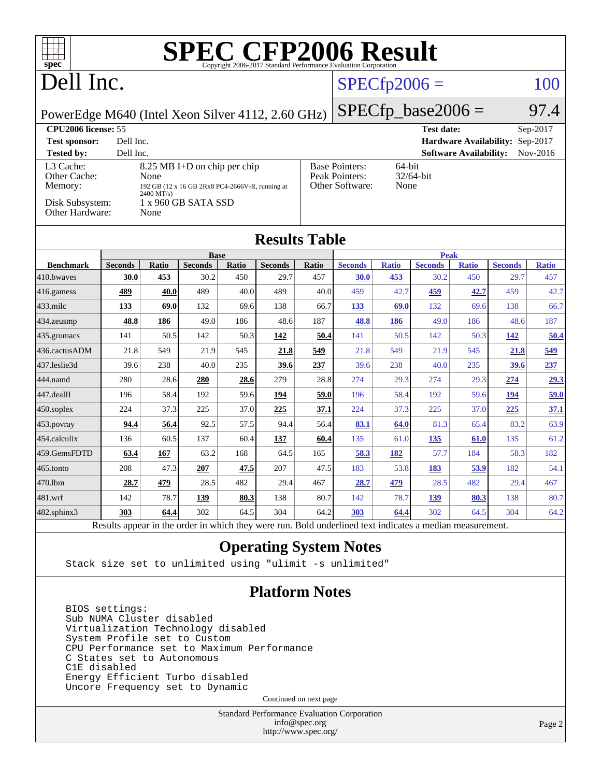| <b>SPEC CFP2006 Result</b><br>$spec^*$<br>Copyright 2006-2017 Standard Performance Evaluation Corporation                                                 |                                                                   |       |                               |       |                                                                                           |       |                      |              |                               |                                 |                |              |
|-----------------------------------------------------------------------------------------------------------------------------------------------------------|-------------------------------------------------------------------|-------|-------------------------------|-------|-------------------------------------------------------------------------------------------|-------|----------------------|--------------|-------------------------------|---------------------------------|----------------|--------------|
| Dell Inc.                                                                                                                                                 |                                                                   |       |                               |       | $SPECfp2006 =$                                                                            |       |                      |              |                               | 100                             |                |              |
| PowerEdge M640 (Intel Xeon Silver 4112, 2.60 GHz)                                                                                                         |                                                                   |       |                               |       |                                                                                           |       | $SPECfp\_base2006 =$ |              |                               |                                 |                | 97.4         |
|                                                                                                                                                           | CPU <sub>2006</sub> license: 55<br>Sep-2017<br><b>Test date:</b>  |       |                               |       |                                                                                           |       |                      |              |                               |                                 |                |              |
| Dell Inc.<br><b>Test sponsor:</b>                                                                                                                         |                                                                   |       |                               |       |                                                                                           |       |                      |              |                               | Hardware Availability: Sep-2017 |                |              |
| <b>Tested by:</b>                                                                                                                                         | Dell Inc.                                                         |       |                               |       |                                                                                           |       |                      |              |                               | <b>Software Availability:</b>   |                | Nov-2016     |
| L <sub>3</sub> Cache:<br>8.25 MB I+D on chip per chip<br>Other Cache:<br>None<br>Memory:<br>192 GB (12 x 16 GB 2Rx8 PC4-2666V-R, running at<br>2400 MT/s) |                                                                   |       |                               |       | 64-bit<br><b>Base Pointers:</b><br>Peak Pointers:<br>32/64-bit<br>Other Software:<br>None |       |                      |              |                               |                                 |                |              |
|                                                                                                                                                           | Disk Subsystem:<br>1 x 960 GB SATA SSD<br>Other Hardware:<br>None |       |                               |       |                                                                                           |       |                      |              |                               |                                 |                |              |
| <b>Results Table</b>                                                                                                                                      |                                                                   |       |                               |       |                                                                                           |       |                      |              |                               |                                 |                |              |
| <b>Benchmark</b>                                                                                                                                          | <b>Seconds</b>                                                    | Ratio | <b>Base</b><br><b>Seconds</b> | Ratio | <b>Seconds</b>                                                                            | Ratio | <b>Seconds</b>       | <b>Ratio</b> | <b>Peak</b><br><b>Seconds</b> | <b>Ratio</b>                    | <b>Seconds</b> | <b>Ratio</b> |
| 410.bwayes                                                                                                                                                | 30.0                                                              | 453   | 30.2                          | 450   | 29.7                                                                                      | 457   | <b>30.0</b>          | 453          | 30.2                          | 450                             | 29.7           | 457          |
| 416.gamess                                                                                                                                                | 489                                                               | 40.0  | 489                           | 40.0  | 489                                                                                       | 40.0  | 459                  | 42.7         | 459                           | 42.7                            | 459            | 42.7         |
| 433.milc                                                                                                                                                  | 133                                                               | 69.0  | 132                           | 69.6  | 138                                                                                       | 66.7  | 133                  | 69.0         | 132                           | 69.6                            | 138            | 66.7         |
| 434.zeusmp                                                                                                                                                | 48.8                                                              | 186   | 49.0                          | 186   | 48.6                                                                                      | 187   | 48.8                 | 186          | 49.0                          | 186                             | 48.6           | 187          |
| 435.gromacs                                                                                                                                               | 141                                                               | 50.5  | 142                           | 50.3  | 142                                                                                       | 50.4  | 141                  | 50.5         | 142                           | 50.3                            | 142            | 50.4         |
| 436.cactusADM                                                                                                                                             | 21.8                                                              | 549   | 21.9                          | 545   | 21.8                                                                                      | 549   | 21.8                 | 549          | 21.9                          | 545                             | 21.8           | 549          |
| 437.leslie3d                                                                                                                                              | 39.6                                                              | 238   | 40.0                          | 235   | 39.6                                                                                      | 237   | 39.6                 | 238          | 40.0                          | 235                             | 39.6           | <u>237</u>   |
| 444.namd                                                                                                                                                  | 280                                                               | 28.6  | 280                           | 28.6  | 279                                                                                       | 28.8  | 274                  | 29.3         | 274                           | 29.3                            | 274            | 29.3         |
| 447.dealII                                                                                                                                                | 196                                                               | 58.4  | 192                           | 59.6  | 194                                                                                       | 59.0  | 196                  | 58.4         | 192                           | 59.6                            | 194            | 59.0         |
| 450.soplex                                                                                                                                                | 224                                                               | 37.3  | 225                           | 37.0  | 225                                                                                       | 37.1  | 224                  | 37.3         | 225                           | 37.0                            | 225            | 37.1         |
| 453.povray                                                                                                                                                | 94.4                                                              | 56.4  | 92.5                          | 57.5  | 94.4                                                                                      | 56.4  | 83.1                 | 64.0         | 81.3                          | 65.4                            | 83.2           | 63.9         |
| 454.calculix                                                                                                                                              | 136                                                               | 60.5  | 137                           | 60.4  | 137                                                                                       | 60.4  | 135                  | 61.0         | <u>135</u>                    | 61.0                            | 135            | 61.2         |
| 459.GemsFDTD                                                                                                                                              | 63.4                                                              | 167   | 63.2                          | 168   | 64.5                                                                                      | 165   | <u>58.3</u>          | 182          | 57.7                          | 184                             | 58.3           | 182          |
| 465.tonto                                                                                                                                                 | 208                                                               | 47.3  | 207                           | 47.5  | 207                                                                                       | 47.5  | 183                  | 53.8         | 183                           | 53.9                            | 182            | 54.1         |
| 470.1bm                                                                                                                                                   | 28.7                                                              | 479   | 28.5                          | 482   | 29.4                                                                                      | 467   | 28.7                 | 479          | 28.5                          | 482                             | 29.4           | 467          |
| 481.wrf                                                                                                                                                   | 142                                                               | 78.7  | 139                           | 80.3  | 138                                                                                       | 80.7  | 142                  | 78.7         | 139                           | 80.3                            | 138            | 80.7         |
| 482.sphinx3                                                                                                                                               | 303                                                               | 64.4  | 302                           | 64.5  | 304                                                                                       | 64.2  | 303                  | 64.4         | 302                           | 64.5                            | 304            | 64.2         |
| Results appear in the order in which they were run. Bold underlined text indicates a median measurement.                                                  |                                                                   |       |                               |       |                                                                                           |       |                      |              |                               |                                 |                |              |

#### **[Operating System Notes](http://www.spec.org/auto/cpu2006/Docs/result-fields.html#OperatingSystemNotes)**

Stack size set to unlimited using "ulimit -s unlimited"

#### **[Platform Notes](http://www.spec.org/auto/cpu2006/Docs/result-fields.html#PlatformNotes)**

 BIOS settings: Sub NUMA Cluster disabled Virtualization Technology disabled System Profile set to Custom CPU Performance set to Maximum Performance C States set to Autonomous C1E disabled Energy Efficient Turbo disabled Uncore Frequency set to Dynamic

Continued on next page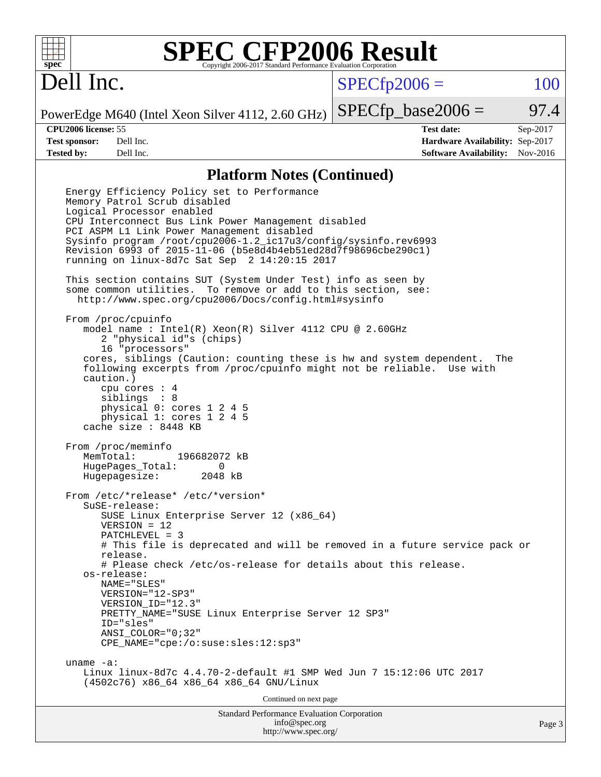

## Dell Inc.

 $SPECTp2006 = 100$ 

PowerEdge M640 (Intel Xeon Silver 4112, 2.60 GHz)

**[CPU2006 license:](http://www.spec.org/auto/cpu2006/Docs/result-fields.html#CPU2006license)** 55 **[Test date:](http://www.spec.org/auto/cpu2006/Docs/result-fields.html#Testdate)** Sep-2017 **[Test sponsor:](http://www.spec.org/auto/cpu2006/Docs/result-fields.html#Testsponsor)** Dell Inc. **[Hardware Availability:](http://www.spec.org/auto/cpu2006/Docs/result-fields.html#HardwareAvailability)** Sep-2017 **[Tested by:](http://www.spec.org/auto/cpu2006/Docs/result-fields.html#Testedby)** Dell Inc. **[Software Availability:](http://www.spec.org/auto/cpu2006/Docs/result-fields.html#SoftwareAvailability)** Nov-2016

 $SPECTp\_base2006 = 97.4$ 

#### **[Platform Notes \(Continued\)](http://www.spec.org/auto/cpu2006/Docs/result-fields.html#PlatformNotes)**

Standard Performance Evaluation Corporation [info@spec.org](mailto:info@spec.org) Page 3 Energy Efficiency Policy set to Performance Memory Patrol Scrub disabled Logical Processor enabled CPU Interconnect Bus Link Power Management disabled PCI ASPM L1 Link Power Management disabled Sysinfo program /root/cpu2006-1.2\_ic17u3/config/sysinfo.rev6993 Revision 6993 of 2015-11-06 (b5e8d4b4eb51ed28d7f98696cbe290c1) running on linux-8d7c Sat Sep 2 14:20:15 2017 This section contains SUT (System Under Test) info as seen by some common utilities. To remove or add to this section, see: <http://www.spec.org/cpu2006/Docs/config.html#sysinfo> From /proc/cpuinfo model name : Intel(R) Xeon(R) Silver 4112 CPU @ 2.60GHz 2 "physical id"s (chips) 16 "processors" cores, siblings (Caution: counting these is hw and system dependent. The following excerpts from /proc/cpuinfo might not be reliable. Use with caution.) cpu cores : 4 siblings : 8 physical 0: cores 1 2 4 5 physical 1: cores 1 2 4 5 cache size : 8448 KB From /proc/meminfo MemTotal: 196682072 kB HugePages\_Total: 0 Hugepagesize: 2048 kB From /etc/\*release\* /etc/\*version\* SuSE-release: SUSE Linux Enterprise Server 12 (x86\_64) VERSION = 12 PATCHLEVEL = 3 # This file is deprecated and will be removed in a future service pack or release. # Please check /etc/os-release for details about this release. os-release: NAME="SLES" VERSION="12-SP3" VERSION\_ID="12.3" PRETTY NAME="SUSE Linux Enterprise Server 12 SP3" ID="sles" ANSI\_COLOR="0;32" CPE\_NAME="cpe:/o:suse:sles:12:sp3" uname -a: Linux linux-8d7c 4.4.70-2-default #1 SMP Wed Jun 7 15:12:06 UTC 2017 (4502c76) x86\_64 x86\_64 x86\_64 GNU/Linux Continued on next page

<http://www.spec.org/>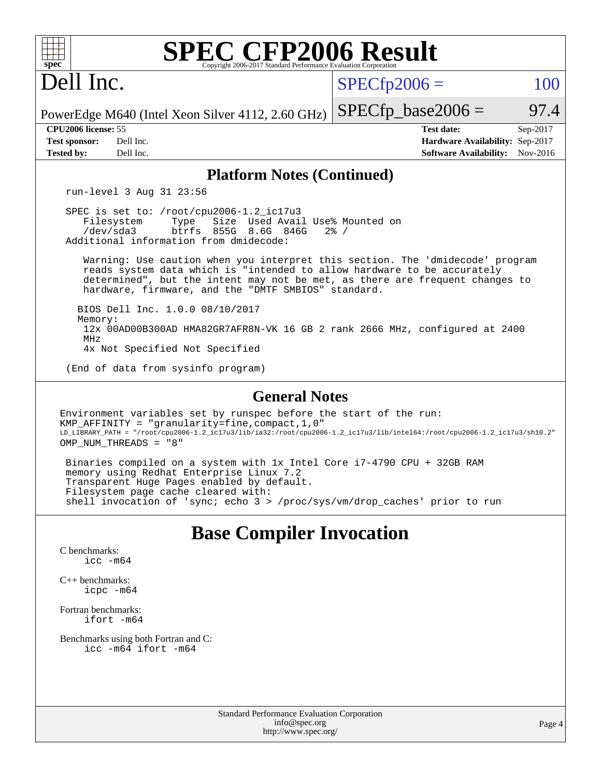| <b>SPEC CFP2006 Result</b><br>$spec^*$<br>Copyright 2006-2017 Standard Performance Evaluation Corporation                                                                                                                                                                                       |                                                                                                            |  |  |  |  |  |  |  |
|-------------------------------------------------------------------------------------------------------------------------------------------------------------------------------------------------------------------------------------------------------------------------------------------------|------------------------------------------------------------------------------------------------------------|--|--|--|--|--|--|--|
| Dell Inc.                                                                                                                                                                                                                                                                                       | $SPECfp2006 =$<br>100                                                                                      |  |  |  |  |  |  |  |
| PowerEdge M640 (Intel Xeon Silver 4112, 2.60 GHz)                                                                                                                                                                                                                                               | $SPECfp\_base2006 =$<br>97.4                                                                               |  |  |  |  |  |  |  |
| CPU2006 license: 55<br><b>Test sponsor:</b><br>Dell Inc.<br>Dell Inc.<br><b>Tested by:</b>                                                                                                                                                                                                      | <b>Test date:</b><br>Sep-2017<br>Hardware Availability: Sep-2017<br><b>Software Availability:</b> Nov-2016 |  |  |  |  |  |  |  |
| <b>Platform Notes (Continued)</b>                                                                                                                                                                                                                                                               |                                                                                                            |  |  |  |  |  |  |  |
| run-level 3 Aug 31 23:56                                                                                                                                                                                                                                                                        |                                                                                                            |  |  |  |  |  |  |  |
| SPEC is set to: /root/cpu2006-1.2_ic17u3<br>Filesystem<br>Type<br>Size Used Avail Use% Mounted on<br>/dev/sda3<br>btrfs<br>855G 8.6G 846G<br>$2\frac{6}{9}$ /<br>Additional information from dmidecode:                                                                                         |                                                                                                            |  |  |  |  |  |  |  |
| Warning: Use caution when you interpret this section. The 'dmidecode' program<br>reads system data which is "intended to allow hardware to be accurately<br>determined", but the intent may not be met, as there are frequent changes to<br>hardware, firmware, and the "DMTF SMBIOS" standard. |                                                                                                            |  |  |  |  |  |  |  |
| BIOS Dell Inc. 1.0.0 08/10/2017<br>Memory:<br>12x 00AD00B300AD HMA82GR7AFR8N-VK 16 GB 2 rank 2666 MHz, configured at 2400<br>MHz<br>4x Not Specified Not Specified                                                                                                                              |                                                                                                            |  |  |  |  |  |  |  |
| (End of data from sysinfo program)                                                                                                                                                                                                                                                              |                                                                                                            |  |  |  |  |  |  |  |
| <b>General Notes</b>                                                                                                                                                                                                                                                                            |                                                                                                            |  |  |  |  |  |  |  |
| Environment variables set by runspec before the start of the run:<br>$KMP_AFFINITY = "granularity = fine, compact, 1, 0"$<br>LD_LIBRARY_PATH = "/root/cpu2006-1.2_ic17u3/lib/ia32:/root/cpu2006-1.2_ic17u3/lib/intel64:/root/cpu2006-1.2_ic17u3/sh10.2"<br>OMP NUM THREADS = "8"                |                                                                                                            |  |  |  |  |  |  |  |
| Binaries compiled on a system with 1x Intel Core i7-4790 CPU + 32GB RAM<br>memory using Redhat Enterprise Linux 7.2<br>Transparent Huge Pages enabled by default.<br>Filesystem page cache cleared with:<br>shell invocation of 'sync; echo 3 > /proc/sys/vm/drop_caches' prior to run          |                                                                                                            |  |  |  |  |  |  |  |
| <b>Base Compiler Invocation</b>                                                                                                                                                                                                                                                                 |                                                                                                            |  |  |  |  |  |  |  |

[C benchmarks](http://www.spec.org/auto/cpu2006/Docs/result-fields.html#Cbenchmarks): [icc -m64](http://www.spec.org/cpu2006/results/res2017q4/cpu2006-20170918-49856.flags.html#user_CCbase_intel_icc_64bit_bda6cc9af1fdbb0edc3795bac97ada53)

[C++ benchmarks:](http://www.spec.org/auto/cpu2006/Docs/result-fields.html#CXXbenchmarks) [icpc -m64](http://www.spec.org/cpu2006/results/res2017q4/cpu2006-20170918-49856.flags.html#user_CXXbase_intel_icpc_64bit_fc66a5337ce925472a5c54ad6a0de310)

[Fortran benchmarks](http://www.spec.org/auto/cpu2006/Docs/result-fields.html#Fortranbenchmarks): [ifort -m64](http://www.spec.org/cpu2006/results/res2017q4/cpu2006-20170918-49856.flags.html#user_FCbase_intel_ifort_64bit_ee9d0fb25645d0210d97eb0527dcc06e)

[Benchmarks using both Fortran and C](http://www.spec.org/auto/cpu2006/Docs/result-fields.html#BenchmarksusingbothFortranandC): [icc -m64](http://www.spec.org/cpu2006/results/res2017q4/cpu2006-20170918-49856.flags.html#user_CC_FCbase_intel_icc_64bit_bda6cc9af1fdbb0edc3795bac97ada53) [ifort -m64](http://www.spec.org/cpu2006/results/res2017q4/cpu2006-20170918-49856.flags.html#user_CC_FCbase_intel_ifort_64bit_ee9d0fb25645d0210d97eb0527dcc06e)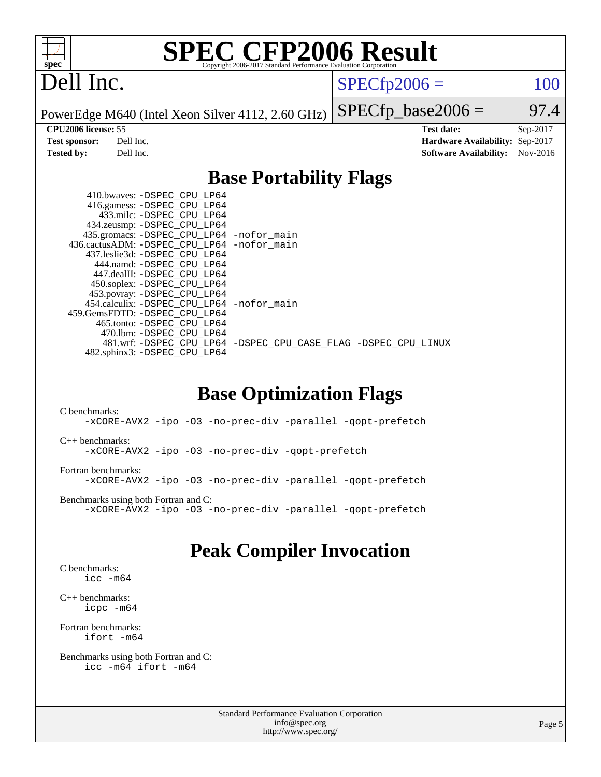

## Dell Inc.

 $SPECTp2006 = 100$ 

PowerEdge M640 (Intel Xeon Silver 4112, 2.60 GHz)

**[CPU2006 license:](http://www.spec.org/auto/cpu2006/Docs/result-fields.html#CPU2006license)** 55 **[Test date:](http://www.spec.org/auto/cpu2006/Docs/result-fields.html#Testdate)** Sep-2017 **[Test sponsor:](http://www.spec.org/auto/cpu2006/Docs/result-fields.html#Testsponsor)** Dell Inc. **[Hardware Availability:](http://www.spec.org/auto/cpu2006/Docs/result-fields.html#HardwareAvailability)** Sep-2017 **[Tested by:](http://www.spec.org/auto/cpu2006/Docs/result-fields.html#Testedby)** Dell Inc. **[Software Availability:](http://www.spec.org/auto/cpu2006/Docs/result-fields.html#SoftwareAvailability)** Nov-2016

 $SPECTp\_base2006 = 97.4$ 

### **[Base Portability Flags](http://www.spec.org/auto/cpu2006/Docs/result-fields.html#BasePortabilityFlags)**

| 416.gamess: -DSPEC_CPU_LP64                                    |
|----------------------------------------------------------------|
|                                                                |
|                                                                |
| 435.gromacs: -DSPEC_CPU_LP64 -nofor_main                       |
| 436.cactusADM: - DSPEC CPU LP64 - nofor main                   |
|                                                                |
|                                                                |
|                                                                |
|                                                                |
| 453.povray: -DSPEC_CPU_LP64                                    |
| 454.calculix: - DSPEC CPU LP64 - nofor main                    |
|                                                                |
|                                                                |
|                                                                |
| 481.wrf: -DSPEC CPU_LP64 -DSPEC_CPU_CASE_FLAG -DSPEC_CPU_LINUX |
|                                                                |
|                                                                |

### **[Base Optimization Flags](http://www.spec.org/auto/cpu2006/Docs/result-fields.html#BaseOptimizationFlags)**

[C benchmarks](http://www.spec.org/auto/cpu2006/Docs/result-fields.html#Cbenchmarks): [-xCORE-AVX2](http://www.spec.org/cpu2006/results/res2017q4/cpu2006-20170918-49856.flags.html#user_CCbase_f-xCORE-AVX2) [-ipo](http://www.spec.org/cpu2006/results/res2017q4/cpu2006-20170918-49856.flags.html#user_CCbase_f-ipo) [-O3](http://www.spec.org/cpu2006/results/res2017q4/cpu2006-20170918-49856.flags.html#user_CCbase_f-O3) [-no-prec-div](http://www.spec.org/cpu2006/results/res2017q4/cpu2006-20170918-49856.flags.html#user_CCbase_f-no-prec-div) [-parallel](http://www.spec.org/cpu2006/results/res2017q4/cpu2006-20170918-49856.flags.html#user_CCbase_f-parallel) [-qopt-prefetch](http://www.spec.org/cpu2006/results/res2017q4/cpu2006-20170918-49856.flags.html#user_CCbase_f-qopt-prefetch) [C++ benchmarks:](http://www.spec.org/auto/cpu2006/Docs/result-fields.html#CXXbenchmarks) [-xCORE-AVX2](http://www.spec.org/cpu2006/results/res2017q4/cpu2006-20170918-49856.flags.html#user_CXXbase_f-xCORE-AVX2) [-ipo](http://www.spec.org/cpu2006/results/res2017q4/cpu2006-20170918-49856.flags.html#user_CXXbase_f-ipo) [-O3](http://www.spec.org/cpu2006/results/res2017q4/cpu2006-20170918-49856.flags.html#user_CXXbase_f-O3) [-no-prec-div](http://www.spec.org/cpu2006/results/res2017q4/cpu2006-20170918-49856.flags.html#user_CXXbase_f-no-prec-div) [-qopt-prefetch](http://www.spec.org/cpu2006/results/res2017q4/cpu2006-20170918-49856.flags.html#user_CXXbase_f-qopt-prefetch) [Fortran benchmarks](http://www.spec.org/auto/cpu2006/Docs/result-fields.html#Fortranbenchmarks): [-xCORE-AVX2](http://www.spec.org/cpu2006/results/res2017q4/cpu2006-20170918-49856.flags.html#user_FCbase_f-xCORE-AVX2) [-ipo](http://www.spec.org/cpu2006/results/res2017q4/cpu2006-20170918-49856.flags.html#user_FCbase_f-ipo) [-O3](http://www.spec.org/cpu2006/results/res2017q4/cpu2006-20170918-49856.flags.html#user_FCbase_f-O3) [-no-prec-div](http://www.spec.org/cpu2006/results/res2017q4/cpu2006-20170918-49856.flags.html#user_FCbase_f-no-prec-div) [-parallel](http://www.spec.org/cpu2006/results/res2017q4/cpu2006-20170918-49856.flags.html#user_FCbase_f-parallel) [-qopt-prefetch](http://www.spec.org/cpu2006/results/res2017q4/cpu2006-20170918-49856.flags.html#user_FCbase_f-qopt-prefetch) [Benchmarks using both Fortran and C](http://www.spec.org/auto/cpu2006/Docs/result-fields.html#BenchmarksusingbothFortranandC): [-xCORE-AVX2](http://www.spec.org/cpu2006/results/res2017q4/cpu2006-20170918-49856.flags.html#user_CC_FCbase_f-xCORE-AVX2) [-ipo](http://www.spec.org/cpu2006/results/res2017q4/cpu2006-20170918-49856.flags.html#user_CC_FCbase_f-ipo) [-O3](http://www.spec.org/cpu2006/results/res2017q4/cpu2006-20170918-49856.flags.html#user_CC_FCbase_f-O3) [-no-prec-div](http://www.spec.org/cpu2006/results/res2017q4/cpu2006-20170918-49856.flags.html#user_CC_FCbase_f-no-prec-div) [-parallel](http://www.spec.org/cpu2006/results/res2017q4/cpu2006-20170918-49856.flags.html#user_CC_FCbase_f-parallel) [-qopt-prefetch](http://www.spec.org/cpu2006/results/res2017q4/cpu2006-20170918-49856.flags.html#user_CC_FCbase_f-qopt-prefetch)

### **[Peak Compiler Invocation](http://www.spec.org/auto/cpu2006/Docs/result-fields.html#PeakCompilerInvocation)**

[C benchmarks](http://www.spec.org/auto/cpu2006/Docs/result-fields.html#Cbenchmarks): [icc -m64](http://www.spec.org/cpu2006/results/res2017q4/cpu2006-20170918-49856.flags.html#user_CCpeak_intel_icc_64bit_bda6cc9af1fdbb0edc3795bac97ada53)

[C++ benchmarks:](http://www.spec.org/auto/cpu2006/Docs/result-fields.html#CXXbenchmarks) [icpc -m64](http://www.spec.org/cpu2006/results/res2017q4/cpu2006-20170918-49856.flags.html#user_CXXpeak_intel_icpc_64bit_fc66a5337ce925472a5c54ad6a0de310)

[Fortran benchmarks](http://www.spec.org/auto/cpu2006/Docs/result-fields.html#Fortranbenchmarks): [ifort -m64](http://www.spec.org/cpu2006/results/res2017q4/cpu2006-20170918-49856.flags.html#user_FCpeak_intel_ifort_64bit_ee9d0fb25645d0210d97eb0527dcc06e)

[Benchmarks using both Fortran and C](http://www.spec.org/auto/cpu2006/Docs/result-fields.html#BenchmarksusingbothFortranandC): [icc -m64](http://www.spec.org/cpu2006/results/res2017q4/cpu2006-20170918-49856.flags.html#user_CC_FCpeak_intel_icc_64bit_bda6cc9af1fdbb0edc3795bac97ada53) [ifort -m64](http://www.spec.org/cpu2006/results/res2017q4/cpu2006-20170918-49856.flags.html#user_CC_FCpeak_intel_ifort_64bit_ee9d0fb25645d0210d97eb0527dcc06e)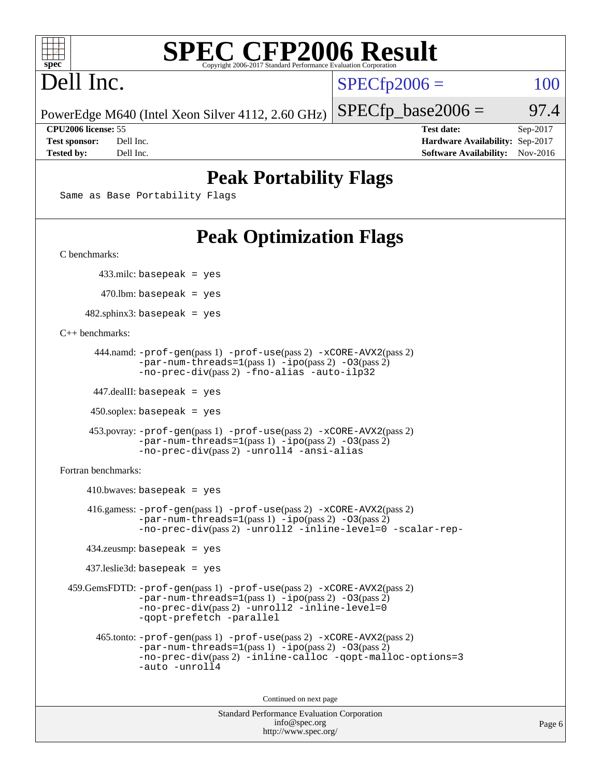

# Dell Inc.

 $SPECTp2006 = 100$ 

PowerEdge M640 (Intel Xeon Silver 4112, 2.60 GHz)

**[CPU2006 license:](http://www.spec.org/auto/cpu2006/Docs/result-fields.html#CPU2006license)** 55 **[Test date:](http://www.spec.org/auto/cpu2006/Docs/result-fields.html#Testdate)** Sep-2017 **[Test sponsor:](http://www.spec.org/auto/cpu2006/Docs/result-fields.html#Testsponsor)** Dell Inc. **[Hardware Availability:](http://www.spec.org/auto/cpu2006/Docs/result-fields.html#HardwareAvailability)** Sep-2017 **[Tested by:](http://www.spec.org/auto/cpu2006/Docs/result-fields.html#Testedby)** Dell Inc. **[Software Availability:](http://www.spec.org/auto/cpu2006/Docs/result-fields.html#SoftwareAvailability)** Nov-2016

 $SPECTp\_base2006 = 97.4$ 

## **[Peak Portability Flags](http://www.spec.org/auto/cpu2006/Docs/result-fields.html#PeakPortabilityFlags)**

Same as Base Portability Flags

## **[Peak Optimization Flags](http://www.spec.org/auto/cpu2006/Docs/result-fields.html#PeakOptimizationFlags)**

[C benchmarks](http://www.spec.org/auto/cpu2006/Docs/result-fields.html#Cbenchmarks):

433.milc: basepeak = yes

470.lbm: basepeak = yes

 $482$ .sphinx3: basepeak = yes

[C++ benchmarks:](http://www.spec.org/auto/cpu2006/Docs/result-fields.html#CXXbenchmarks)

```
 444.namd: -prof-gen(pass 1) -prof-use(pass 2) -xCORE-AVX2(pass 2)
      -par-num-threads=1-ipo-O3(pass 2)-no-prec-div(pass 2) -fno-alias -auto-ilp32
```
447.dealII: basepeak = yes

 $450$ .soplex: basepeak = yes

```
 453.povray: -prof-gen(pass 1) -prof-use(pass 2) -xCORE-AVX2(pass 2)
        -par-num-threads=1-ipo-O3(pass 2)-no-prec-div(pass 2) -unroll4 -ansi-alias
```
[Fortran benchmarks](http://www.spec.org/auto/cpu2006/Docs/result-fields.html#Fortranbenchmarks):

```
410.bwaves: basepeak = yes 416.gamess: -prof-gen(pass 1) -prof-use(pass 2) -xCORE-AVX2(pass 2)
           -par-num-threads=1-ipo-O3(pass 2)-no-prec-div(pass 2) -unroll2 -inline-level=0 -scalar-rep-
   434.zeusmp: basepeak = yes
   437.leslie3d: basepeak = yes
459.GemsFDTD: -prof-gen(pass 1) -prof-use(pass 2) -xCORE-AVX2(pass 2)
           -par-num-threads=1-ipo-O3(pass 2)-no-prec-div(pass 2) -unroll2 -inline-level=0
           -qopt-prefetch -parallel
     465.tonto: -prof-gen(pass 1) -prof-use(pass 2) -xCORE-AVX2(pass 2)
           -par-num-threads=1(pass 1) -ipo(pass 2) -O3(pass 2)
           -no-prec-div-inline-calloc-qopt-malloc-options=3
           -auto -unroll4
```
Continued on next page

```
Standard Performance Evaluation Corporation
            info@spec.org
          http://www.spec.org/
```